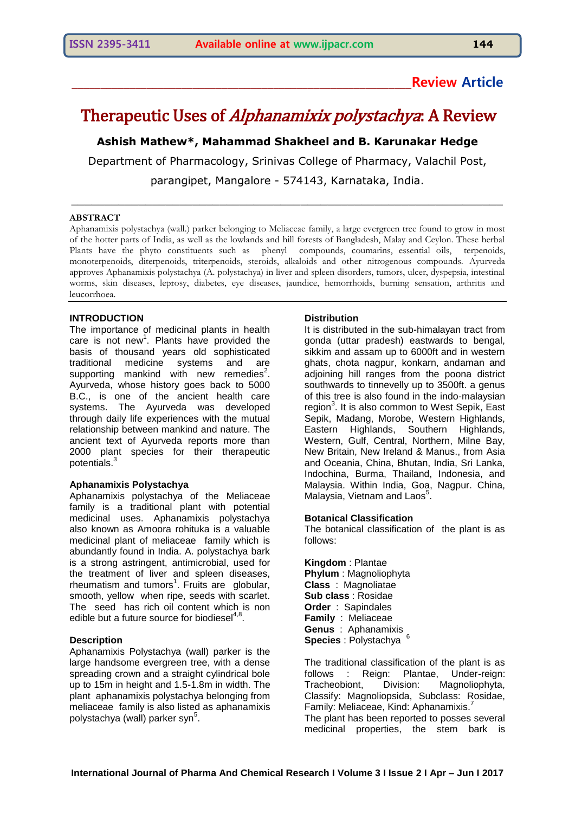# **\_\_\_\_\_\_\_\_\_\_\_\_\_\_\_\_\_\_\_\_\_\_\_\_\_\_\_\_\_\_\_\_\_\_\_\_\_\_\_\_\_\_\_\_\_\_\_\_\_\_\_\_\_\_\_\_\_\_\_Review Article**

# Therapeutic Uses of *Alphanamixix polystachya*: A Review

**Ashish Mathew\*, Mahammad Shakheel and B. Karunakar Hedge**

Department of Pharmacology, Srinivas College of Pharmacy, Valachil Post, parangipet, Mangalore - 574143, Karnataka, India.

\_\_\_\_\_\_\_\_\_\_\_\_\_\_\_\_\_\_\_\_\_\_\_\_\_\_\_\_\_\_\_\_\_\_\_\_\_\_\_\_\_\_\_\_\_\_\_\_\_\_\_\_\_\_\_\_\_\_\_\_\_\_\_\_

#### **ABSTRACT**

Aphanamixis polystachya (wall.) parker belonging to Meliaceae family, a large evergreen tree found to grow in most of the hotter parts of India, as well as the lowlands and hill forests of Bangladesh, Malay and Ceylon. These herbal Plants have the phyto constituents such as phenyl compounds, coumarins, essential oils, terpenoids, monoterpenoids, diterpenoids, triterpenoids, steroids, alkaloids and other nitrogenous compounds. Ayurveda approves Aphanamixis polystachya (A. polystachya) in liver and spleen disorders, tumors, ulcer, dyspepsia, intestinal worms, skin diseases, leprosy, diabetes, eye diseases, jaundice, hemorrhoids, burning sensation, arthritis and leucorrhoea.

#### **INTRODUCTION**

The importance of medicinal plants in health care is not new<sup>1</sup>. Plants have provided the basis of thousand years old sophisticated traditional medicine systems and are supporting mankind with new remedies<sup>2</sup>. Ayurveda, whose history goes back to 5000 B.C., is one of the ancient health care systems. The Ayurveda was developed through daily life experiences with the mutual relationship between mankind and nature. The ancient text of Ayurveda reports more than 2000 plant species for their therapeutic potentials.<sup>3</sup>

#### **Aphanamixis Polystachya**

Aphanamixis polystachya of the Meliaceae family is a traditional plant with potential medicinal uses. Aphanamixis polystachya also known as Amoora rohituka is a valuable medicinal plant of meliaceae family which is abundantly found in India. A. polystachya bark is a strong astringent, antimicrobial, used for the treatment of liver and spleen diseases, rheumatism and tumors<sup>1</sup>. Fruits are globular, smooth, yellow when ripe, seeds with scarlet. The seed has rich oil content which is non edible but a future source for biodiesel<sup>4,8</sup>.

#### **Description**

Aphanamixis Polystachya (wall) parker is the large handsome evergreen tree, with a dense spreading crown and a straight cylindrical bole up to 15m in height and 1.5-1.8m in width. The plant aphanamixis polystachya belonging from meliaceae family is also listed as aphanamixis polystachya (wall) parker syn<sup>5</sup>.

#### **Distribution**

It is distributed in the sub-himalayan tract from gonda (uttar pradesh) eastwards to bengal, sikkim and assam up to 6000ft and in western ghats, chota nagpur, konkarn, andaman and adjoining hill ranges from the poona district southwards to tinnevelly up to 3500ft. a genus of this tree is also found in the indo-malaysian region<sup>3</sup>. It is also common to West Sepik, East Sepik, Madang, Morobe, Western Highlands, Eastern Highlands, Southern Highlands, Western, Gulf, Central, Northern, Milne Bay, New Britain, New Ireland & Manus., from Asia and Oceania, China, Bhutan, India, Sri Lanka, Indochina, Burma, Thailand, Indonesia, and Malaysia. Within India, Goa, Nagpur. China, Malaysia, Vietnam and Laos<sup>5</sup>.

#### **Botanical Classification**

The botanical classification of the plant is as follows:

**Kingdom** : Plantae **Phylum** : Magnoliophyta **Class** : Magnoliatae **Sub class** : Rosidae **Order** : Sapindales **Family** : Meliaceae **Genus** : Aphanamixis **Species** : Polystachya <sup>6</sup>

The traditional classification of the plant is as follows : Reign: Plantae, Under-reign: Tracheobiont, Division: Magnoliophyta, Classify: Magnoliopsida, Subclass: Rosidae, Family: Meliaceae, Kind: Aphanamixis. The plant has been reported to posses several medicinal properties, the stem bark is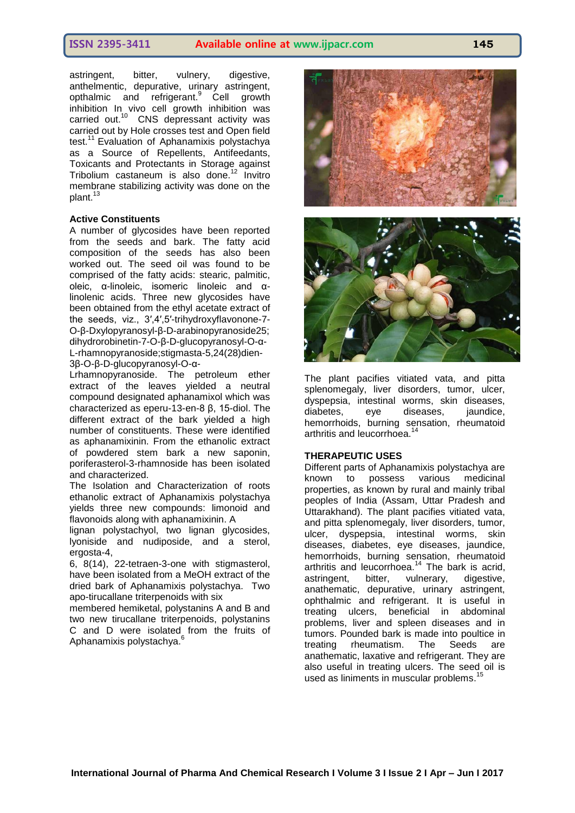astringent, bitter, vulnery, digestive, anthelmentic, depurative, urinary astringent, opthalmic and refrigerant.<sup>9</sup> Cell growth inhibition In vivo cell growth inhibition was carried out.<sup>10</sup> CNS depressant activity was carried out by Hole crosses test and Open field test.<sup>11</sup> Evaluation of Aphanamixis polystachya as a Source of Repellents, Antifeedants, Toxicants and Protectants in Storage against Tribolium castaneum is also done.<sup>12</sup> Invitro membrane stabilizing activity was done on the plant.<sup>1</sup>

#### **Active Constituents**

A number of glycosides have been reported from the seeds and bark. The fatty acid composition of the seeds has also been worked out. The seed oil was found to be comprised of the fatty acids: stearic, palmitic, oleic, α-linoleic, isomeric linoleic and αlinolenic acids. Three new glycosides have been obtained from the ethyl acetate extract of the seeds, viz., 3′,4′,5′-trihydroxyflavonone-7- O-β-Dxylopyranosyl-β-D-arabinopyranoside25; dihydrorobinetin-7-O-β-D-glucopyranosyl-O-α-L-rhamnopyranoside;stigmasta-5,24(28)dien-3β-O-β-D-glucopyranosyl-O-α-

Lrhamnopyranoside. The petroleum ether extract of the leaves yielded a neutral compound designated aphanamixol which was characterized as eperu-13-en-8 β, 15-diol. The different extract of the bark yielded a high number of constituents. These were identified as aphanamixinin. From the ethanolic extract of powdered stem bark a new saponin, poriferasterol-3-rhamnoside has been isolated and characterized.

The Isolation and Characterization of roots ethanolic extract of Aphanamixis polystachya yields three new compounds: limonoid and flavonoids along with aphanamixinin. A

lignan polystachyol, two lignan glycosides, lyoniside and nudiposide, and a sterol, ergosta-4,

6, 8(14), 22-tetraen-3-one with stigmasterol, have been isolated from a MeOH extract of the dried bark of Aphanamixis polystachya. Two apo-tirucallane triterpenoids with six

membered hemiketal, polystanins A and B and two new tirucallane triterpenoids, polystanins C and D were isolated from the fruits of Aphanamixis polystachya.<sup>6</sup>



The plant pacifies vitiated vata, and pitta splenomegaly, liver disorders, tumor, ulcer, dyspepsia, intestinal worms, skin diseases, diabetes, eye diseases, jaundice, hemorrhoids, burning sensation, rheumatoid arthritis and leucorrhoea. 14

#### **THERAPEUTIC USES**

Different parts of Aphanamixis polystachya are known to possess various medicinal properties, as known by rural and mainly tribal peoples of India (Assam, Uttar Pradesh and Uttarakhand). The plant pacifies vitiated vata, and pitta splenomegaly, liver disorders, tumor, ulcer, dyspepsia, intestinal worms, skin diseases, diabetes, eye diseases, jaundice, hemorrhoids, burning sensation, rheumatoid arthritis and leucorrhoea.<sup>14</sup> The bark is acrid, astringent, bitter, vulnerary, digestive, anathematic, depurative, urinary astringent, ophthalmic and refrigerant. It is useful in treating ulcers, beneficial in abdominal problems, liver and spleen diseases and in tumors. Pounded bark is made into poultice in treating rheumatism. The Seeds are anathematic, laxative and refrigerant. They are also useful in treating ulcers. The seed oil is used as liniments in muscular problems. 15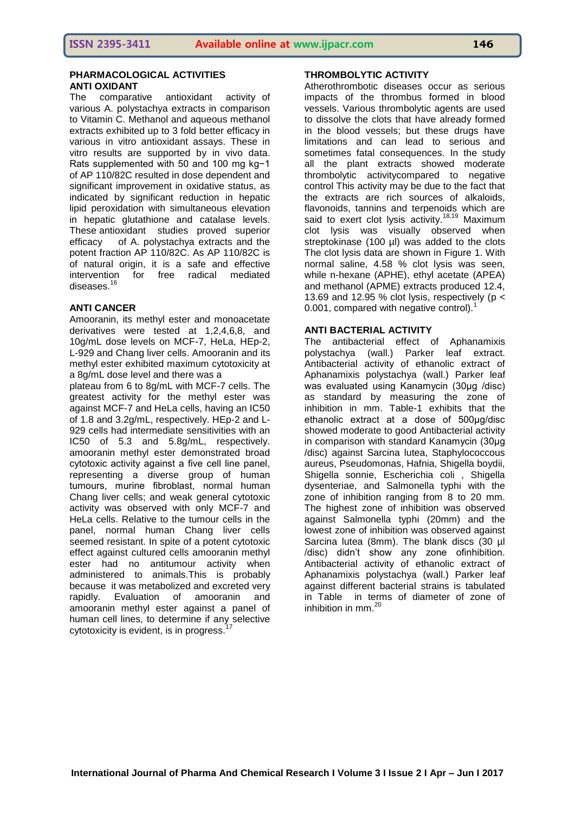## **PHARMACOLOGICAL ACTIVITIES ANTI OXIDANT**

The comparative antioxidant activity of various A. polystachya extracts in comparison to Vitamin C. Methanol and aqueous methanol extracts exhibited up to 3 fold better efficacy in various in vitro antioxidant assays. These in vitro results are supported by in vivo data. Rats supplemented with 50 and 100 mg kg−1 of AP 110/82C resulted in dose dependent and significant improvement in oxidative status, as indicated by significant reduction in hepatic lipid peroxidation with simultaneous elevation in hepatic glutathione and catalase levels. These antioxidant studies proved superior efficacy of A. polystachya extracts and the potent fraction AP 110/82C. As AP 110/82C is of natural origin, it is a safe and effective intervention for free radical mediated diseases.<sup>16</sup>

# **ANTI CANCER**

Amooranin, its methyl ester and monoacetate derivatives were tested at 1,2,4,6,8, and 10g/mL dose levels on MCF-7, HeLa, HEp-2, L-929 and Chang liver cells. Amooranin and its methyl ester exhibited maximum cytotoxicity at a 8g/mL dose level and there was a

plateau from 6 to 8g/mL with MCF-7 cells. The greatest activity for the methyl ester was against MCF-7 and HeLa cells, having an IC50 of 1.8 and 3.2g/mL, respectively. HEp-2 and L-929 cells had intermediate sensitivities with an IC50 of 5.3 and 5.8g/mL, respectively. amooranin methyl ester demonstrated broad cytotoxic activity against a five cell line panel, representing a diverse group of human tumours, murine fibroblast, normal human Chang liver cells; and weak general cytotoxic activity was observed with only MCF-7 and HeLa cells. Relative to the tumour cells in the panel, normal human Chang liver cells seemed resistant. In spite of a potent cytotoxic effect against cultured cells amooranin methyl ester had no antitumour activity when administered to animals.This is probably because it was metabolized and excreted very rapidly. Evaluation of amooranin and amooranin methyl ester against a panel of human cell lines, to determine if any selective cytotoxicity is evident, is in progress.<sup>1</sup>

# **THROMBOLYTIC ACTIVITY**

Atherothrombotic diseases occur as serious impacts of the thrombus formed in blood vessels. Various thrombolytic agents are used to dissolve the clots that have already formed in the blood vessels; but these drugs have limitations and can lead to serious and sometimes fatal consequences. In the study all the plant extracts showed moderate thrombolytic activitycompared to negative control This activity may be due to the fact that the extracts are rich sources of alkaloids, flavonoids, tannins and terpenoids which are said to exert clot lysis activity.<sup>18,19</sup> Maximum clot lysis was visually observed when streptokinase (100 ul) was added to the clots The clot lysis data are shown in Figure 1. With normal saline, 4.58 % clot lysis was seen, while n-hexane (APHE), ethyl acetate (APEA) and methanol (APME) extracts produced 12.4, 13.69 and 12.95 % clot lysis, respectively ( $p <$ 0.001, compared with negative control).<sup>1</sup>

# **ANTI BACTERIAL ACTIVITY**

The antibacterial effect of Aphanamixis polystachya (wall.) Parker leaf extract. Antibacterial activity of ethanolic extract of Aphanamixis polystachya (wall.) Parker leaf was evaluated using Kanamycin (30μg /disc) as standard by measuring the zone of inhibition in mm. Table-1 exhibits that the ethanolic extract at a dose of 500μg/disc showed moderate to good Antibacterial activity in comparison with standard Kanamycin (30μg /disc) against Sarcina lutea, Staphylococcous aureus, Pseudomonas, Hafnia, Shigella boydii, Shigella sonnie, Escherichia coli , Shigella dysenteriae, and Salmonella typhi with the zone of inhibition ranging from 8 to 20 mm. The highest zone of inhibition was observed against Salmonella typhi (20mm) and the lowest zone of inhibition was observed against Sarcina lutea (8mm). The blank discs (30 µl /disc) didn't show any zone ofinhibition. Antibacterial activity of ethanolic extract of Aphanamixis polystachya (wall.) Parker leaf against different bacterial strains is tabulated in Table in terms of diameter of zone of inhibition in mm.<sup>20</sup>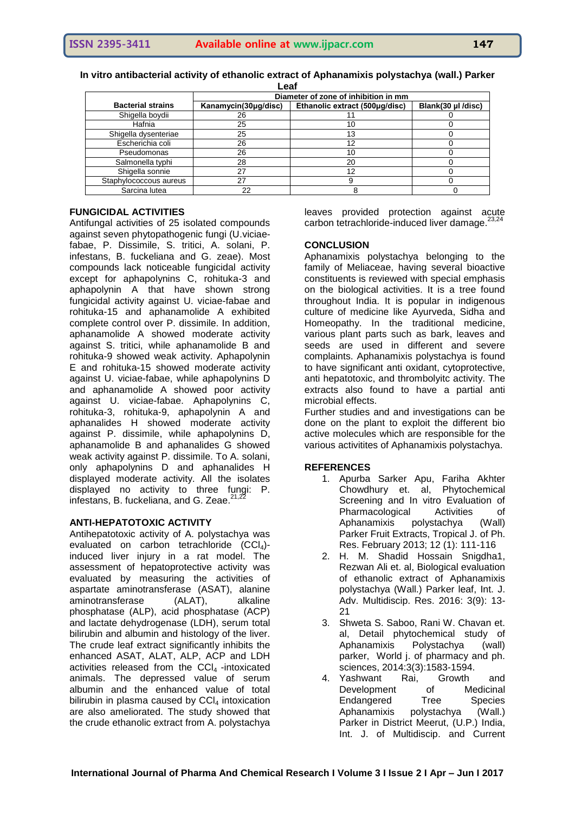| Leaf                     |                                      |                                |                    |
|--------------------------|--------------------------------------|--------------------------------|--------------------|
|                          | Diameter of zone of inhibition in mm |                                |                    |
| <b>Bacterial strains</b> | Kanamycin(30µg/disc)                 | Ethanolic extract (500µg/disc) | Blank(30 µl /disc) |
| Shigella boydii          | 26                                   |                                |                    |
| Hafnia                   | 25                                   | 10                             |                    |
| Shigella dysenteriae     | 25                                   | 13                             |                    |
| Escherichia coli         | 26                                   | 12                             |                    |
| Pseudomonas              | 26                                   | 10                             |                    |
| Salmonella typhi         | 28                                   | 20                             |                    |
| Shigella sonnie          | 27                                   | 12                             |                    |
| Staphylococcous aureus   | 27                                   |                                |                    |

Sarcina lutea  $\begin{array}{|c|c|c|c|c|c|c|c|c|} \hline \text{S} & \text{S} & \text{S} & \text{S} & \text{S} & \text{S} & \text{S} & \text{S} & \text{S} & \text{S} & \text{S} & \text{S} & \text{S} & \text{S} & \text{S} & \text{S} & \text{S} & \text{S} & \text{S} & \text{S} & \text{S} & \text{S} & \text{S} & \text{S} & \text{S} & \text{S} & \text{S} & \text{S} & \text{S} & \text{S}$ 

**In vitro antibacterial activity of ethanolic extract of Aphanamixis polystachya (wall.) Parker** 

## **FUNGICIDAL ACTIVITIES**

Antifungal activities of 25 isolated compounds against seven phytopathogenic fungi (U.viciaefabae, P. Dissimile, S. tritici, A. solani, P. infestans, B. fuckeliana and G. zeae). Most compounds lack noticeable fungicidal activity except for aphapolynins C, rohituka-3 and aphapolynin A that have shown strong fungicidal activity against U. viciae-fabae and rohituka-15 and aphanamolide A exhibited complete control over P. dissimile. In addition, aphanamolide A showed moderate activity against S. tritici, while aphanamolide B and rohituka-9 showed weak activity. Aphapolynin E and rohituka-15 showed moderate activity against U. viciae-fabae, while aphapolynins D and aphanamolide A showed poor activity against U. viciae-fabae. Aphapolynins C, rohituka-3, rohituka-9, aphapolynin A and aphanalides H showed moderate activity against P. dissimile, while aphapolynins D, aphanamolide B and aphanalides G showed weak activity against P. dissimile. To A. solani, only aphapolynins D and aphanalides H displayed moderate activity. All the isolates displayed no activity to three fungi: P. infestans, B. fuckeliana, and G. Zeae. $21,22$ 

### **ANTI-HEPATOTOXIC ACTIVITY**

Antihepatotoxic activity of A. polystachya was evaluated on carbon tetrachloride  $(CCl<sub>4</sub>)$ induced liver injury in a rat model. The assessment of hepatoprotective activity was evaluated by measuring the activities of aspartate aminotransferase (ASAT), alanine aminotransferase (ALAT), alkaline phosphatase (ALP), acid phosphatase (ACP) and lactate dehydrogenase (LDH), serum total bilirubin and albumin and histology of the liver. The crude leaf extract significantly inhibits the enhanced ASAT, ALAT, ALP, ACP and LDH activities released from the  $CCI<sub>4</sub>$ -intoxicated animals. The depressed value of serum albumin and the enhanced value of total bilirubin in plasma caused by  $CCl<sub>4</sub>$  intoxication are also ameliorated. The study showed that the crude ethanolic extract from A. polystachya

leaves provided protection against acute carbon tetrachloride-induced liver damage.<sup>2</sup>

### **CONCLUSION**

Aphanamixis polystachya belonging to the family of Meliaceae, having several bioactive constituents is reviewed with special emphasis on the biological activities. It is a tree found throughout India. It is popular in indigenous culture of medicine like Ayurveda, Sidha and Homeopathy. In the traditional medicine, various plant parts such as bark, leaves and seeds are used in different and severe complaints. Aphanamixis polystachya is found to have significant anti oxidant, cytoprotective, anti hepatotoxic, and thrombolyitc activity. The extracts also found to have a partial anti microbial effects.

Further studies and and investigations can be done on the plant to exploit the different bio active molecules which are responsible for the various activitites of Aphanamixis polystachya.

# **REFERENCES**

- 1. Apurba Sarker Apu, Fariha Akhter Chowdhury et. al, Phytochemical Screening and In vitro Evaluation of Pharmacological Activities of Aphanamixis polystachya (Wall) Parker Fruit Extracts, Tropical J. of Ph. Res. February 2013; 12 (1): 111-116
- 2. H. M. Shadid Hossain Snigdha1, Rezwan Ali et. al, Biological evaluation of ethanolic extract of Aphanamixis polystachya (Wall.) Parker leaf, Int. J. Adv. Multidiscip. Res. 2016: 3(9): 13- 21
- 3. Shweta S. Saboo, Rani W. Chavan et. al, Detail phytochemical study of Aphanamixis Polystachya (wall) parker, World j. of pharmacy and ph. sciences, 2014:3(3):1583-1594.
- 4. Yashwant Rai, Growth and Development of Medicinal Endangered Tree Species Aphanamixis polystachya (Wall.) Parker in District Meerut, (U.P.) India, Int. J. of Multidiscip. and Current